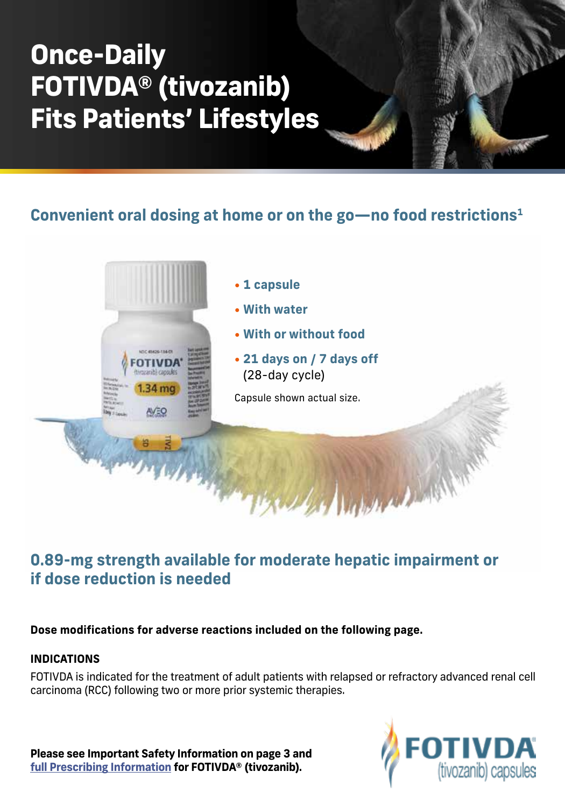# **Once-Daily FOTIVDA® (tivozanib) Fits Patients' Lifestyles**

**Convenient oral dosing at home or on the go—no food restrictions1**



# **0.89-mg strength available for moderate hepatic impairment or if dose reduction is needed**

**Dose modifications for adverse reactions included on the following page.**

### **INDICATIONS**

FOTIVDA is indicated for the treatment of adult patients with relapsed or refractory advanced renal cell carcinoma (RCC) following two or more prior systemic therapies.

**Please see Important Safety Information on page 3 and [full Prescribing Information f](https://www.fotivda.com/fotivdapi.pdf)or FOTIVDA® (tivozanib).**

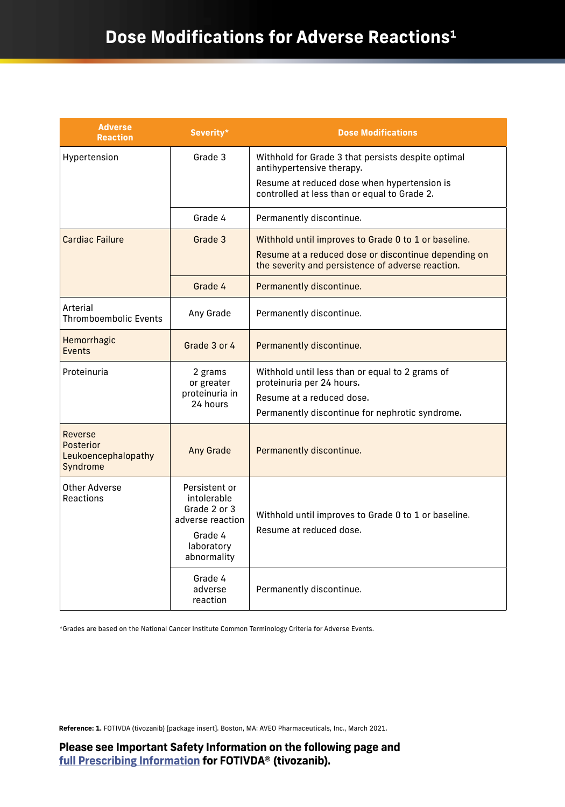# **Dose Modifications for Adverse Reactions1**

| <b>Adverse</b><br><b>Reaction</b>                       | Severity*                                                                                                | <b>Dose Modifications</b>                                                                                 |
|---------------------------------------------------------|----------------------------------------------------------------------------------------------------------|-----------------------------------------------------------------------------------------------------------|
| Hypertension                                            | Grade 3                                                                                                  | Withhold for Grade 3 that persists despite optimal<br>antihypertensive therapy.                           |
|                                                         |                                                                                                          | Resume at reduced dose when hypertension is<br>controlled at less than or equal to Grade 2.               |
|                                                         | Grade 4                                                                                                  | Permanently discontinue.                                                                                  |
| <b>Cardiac Failure</b>                                  | Grade 3                                                                                                  | Withhold until improves to Grade 0 to 1 or baseline.                                                      |
|                                                         |                                                                                                          | Resume at a reduced dose or discontinue depending on<br>the severity and persistence of adverse reaction. |
|                                                         | Grade 4                                                                                                  | Permanently discontinue.                                                                                  |
| Arterial<br><b>Thromboembolic Events</b>                | Any Grade                                                                                                | Permanently discontinue.                                                                                  |
| Hemorrhagic<br><b>Events</b>                            | Grade 3 or 4                                                                                             | Permanently discontinue.                                                                                  |
| Proteinuria                                             | 2 grams<br>or greater<br>proteinuria in<br>24 hours                                                      | Withhold until less than or equal to 2 grams of<br>proteinuria per 24 hours.                              |
|                                                         |                                                                                                          | Resume at a reduced dose.                                                                                 |
|                                                         |                                                                                                          | Permanently discontinue for nephrotic syndrome.                                                           |
| Reverse<br>Posterior<br>Leukoencephalopathy<br>Syndrome | <b>Any Grade</b>                                                                                         | Permanently discontinue.                                                                                  |
| Other Adverse<br>Reactions                              | Persistent or<br>intolerable<br>Grade 2 or 3<br>adverse reaction<br>Grade 4<br>laboratory<br>abnormality | Withhold until improves to Grade 0 to 1 or baseline.<br>Resume at reduced dose.                           |
|                                                         | Grade 4<br>adverse<br>reaction                                                                           | Permanently discontinue.                                                                                  |

\*Grades are based on the National Cancer Institute Common Terminology Criteria for Adverse Events.

**Reference: 1.** FOTIVDA (tivozanib) [package insert]. Boston, MA: AVEO Pharmaceuticals, Inc., March 2021.

**Please see Important Safety Information on the following page and [full Prescribing Information](https://www.fotivda.com/fotivdapi.pdf) for FOTIVDA® (tivozanib).**